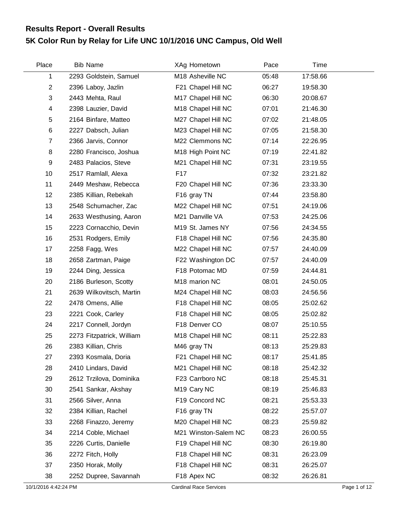## **5K Color Run by Relay for Life UNC 10/1/2016 UNC Campus, Old Well Results Report - Overall Results**

| Place          | <b>Bib Name</b>           | XAg Hometown            | Pace  | Time     |  |
|----------------|---------------------------|-------------------------|-------|----------|--|
| 1              | 2293 Goldstein, Samuel    | M18 Asheville NC        | 05:48 | 17:58.66 |  |
| $\overline{2}$ | 2396 Laboy, Jazlin        | F21 Chapel Hill NC      | 06:27 | 19:58.30 |  |
| 3              | 2443 Mehta, Raul          | M17 Chapel Hill NC      | 06:30 | 20:08.67 |  |
| $\overline{4}$ | 2398 Lauzier, David       | M18 Chapel Hill NC      | 07:01 | 21:46.30 |  |
| 5              | 2164 Binfare, Matteo      | M27 Chapel Hill NC      | 07:02 | 21:48.05 |  |
| 6              | 2227 Dabsch, Julian       | M23 Chapel Hill NC      | 07:05 | 21:58.30 |  |
| $\overline{7}$ | 2366 Jarvis, Connor       | M22 Clemmons NC         | 07:14 | 22:26.95 |  |
| 8              | 2280 Francisco, Joshua    | M18 High Point NC       | 07:19 | 22:41.82 |  |
| 9              | 2483 Palacios, Steve      | M21 Chapel Hill NC      | 07:31 | 23:19.55 |  |
| 10             | 2517 Ramlall, Alexa       | F17                     | 07:32 | 23:21.82 |  |
| 11             | 2449 Meshaw, Rebecca      | F20 Chapel Hill NC      | 07:36 | 23:33.30 |  |
| 12             | 2385 Killian, Rebekah     | F <sub>16</sub> gray TN | 07:44 | 23:58.80 |  |
| 13             | 2548 Schumacher, Zac      | M22 Chapel Hill NC      | 07:51 | 24:19.06 |  |
| 14             | 2633 Westhusing, Aaron    | M21 Danville VA         | 07:53 | 24:25.06 |  |
| 15             | 2223 Cornacchio, Devin    | M19 St. James NY        | 07:56 | 24:34.55 |  |
| 16             | 2531 Rodgers, Emily       | F18 Chapel Hill NC      | 07:56 | 24:35.80 |  |
| 17             | 2258 Fagg, Wes            | M22 Chapel Hill NC      | 07:57 | 24:40.09 |  |
| 18             | 2658 Zartman, Paige       | F22 Washington DC       | 07:57 | 24:40.09 |  |
| 19             | 2244 Ding, Jessica        | F18 Potomac MD          | 07:59 | 24:44.81 |  |
| 20             | 2186 Burleson, Scotty     | M18 marion NC           | 08:01 | 24:50.05 |  |
| 21             | 2639 Wilkovitsch, Martin  | M24 Chapel Hill NC      | 08:03 | 24:56.56 |  |
| 22             | 2478 Omens, Allie         | F18 Chapel Hill NC      | 08:05 | 25:02.62 |  |
| 23             | 2221 Cook, Carley         | F18 Chapel Hill NC      | 08:05 | 25:02.82 |  |
| 24             | 2217 Connell, Jordyn      | F18 Denver CO           | 08:07 | 25:10.55 |  |
| 25             | 2273 Fitzpatrick, William | M18 Chapel Hill NC      | 08:11 | 25:22.83 |  |
| 26             | 2383 Killian, Chris       | M46 gray TN             | 08:13 | 25:29.83 |  |
| 27             | 2393 Kosmala, Doria       | F21 Chapel Hill NC      | 08:17 | 25:41.85 |  |
| 28             | 2410 Lindars, David       | M21 Chapel Hill NC      | 08:18 | 25:42.32 |  |
| 29             | 2612 Trzilova, Dominika   | F23 Carrboro NC         | 08:18 | 25:45.31 |  |
| 30             | 2541 Sankar, Akshay       | M <sub>19</sub> Cary NC | 08:19 | 25:46.83 |  |
| 31             | 2566 Silver, Anna         | F19 Concord NC          | 08:21 | 25:53.33 |  |
| 32             | 2384 Killian, Rachel      | F <sub>16</sub> gray TN | 08:22 | 25:57.07 |  |
| 33             | 2268 Finazzo, Jeremy      | M20 Chapel Hill NC      | 08:23 | 25:59.82 |  |
| 34             | 2214 Coble, Michael       | M21 Winston-Salem NC    | 08:23 | 26:00.55 |  |
| 35             | 2226 Curtis, Danielle     | F19 Chapel Hill NC      | 08:30 | 26:19.80 |  |
| 36             | 2272 Fitch, Holly         | F18 Chapel Hill NC      | 08:31 | 26:23.09 |  |
| 37             | 2350 Horak, Molly         | F18 Chapel Hill NC      | 08:31 | 26:25.07 |  |
| 38             | 2252 Dupree, Savannah     | F18 Apex NC             | 08:32 | 26:26.81 |  |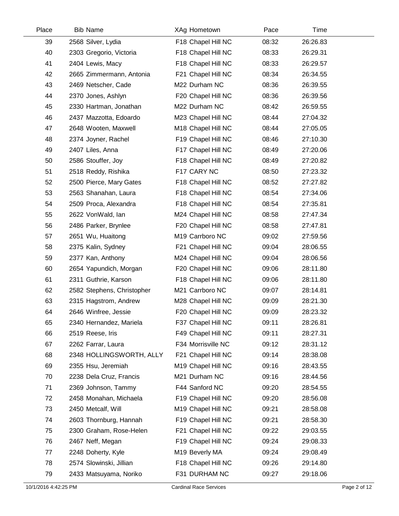| Place | <b>Bib Name</b>            | XAg Hometown       | Pace  | Time     |  |
|-------|----------------------------|--------------------|-------|----------|--|
| 39    | 2568 Silver, Lydia         | F18 Chapel Hill NC | 08:32 | 26:26.83 |  |
| 40    | 2303 Gregorio, Victoria    | F18 Chapel Hill NC | 08:33 | 26:29.31 |  |
| 41    | 2404 Lewis, Macy           | F18 Chapel Hill NC | 08:33 | 26:29.57 |  |
| 42    | 2665 Zimmermann, Antonia   | F21 Chapel Hill NC | 08:34 | 26:34.55 |  |
| 43    | 2469 Netscher, Cade        | M22 Durham NC      | 08:36 | 26:39.55 |  |
| 44    | 2370 Jones, Ashlyn         | F20 Chapel Hill NC | 08:36 | 26:39.56 |  |
| 45    | 2330 Hartman, Jonathan     | M22 Durham NC      | 08:42 | 26:59.55 |  |
| 46    | 2437 Mazzotta, Edoardo     | M23 Chapel Hill NC | 08:44 | 27:04.32 |  |
| 47    | 2648 Wooten, Maxwell       | M18 Chapel Hill NC | 08:44 | 27:05.05 |  |
| 48    | 2374 Joyner, Rachel        | F19 Chapel Hill NC | 08:46 | 27:10.30 |  |
| 49    | 2407 Liles, Anna           | F17 Chapel Hill NC | 08:49 | 27:20.06 |  |
| 50    | 2586 Stouffer, Joy         | F18 Chapel Hill NC | 08:49 | 27:20.82 |  |
| 51    | 2518 Reddy, Rishika        | F17 CARY NC        | 08:50 | 27:23.32 |  |
| 52    | 2500 Pierce, Mary Gates    | F18 Chapel Hill NC | 08:52 | 27:27.82 |  |
| 53    | 2563 Shanahan, Laura       | F18 Chapel Hill NC | 08:54 | 27:34.06 |  |
| 54    | 2509 Proca, Alexandra      | F18 Chapel Hill NC | 08:54 | 27:35.81 |  |
| 55    | 2622 VonWald, lan          | M24 Chapel Hill NC | 08:58 | 27:47.34 |  |
| 56    | 2486 Parker, Brynlee       | F20 Chapel Hill NC | 08:58 | 27:47.81 |  |
| 57    | 2651 Wu, Huaitong          | M19 Carrboro NC    | 09:02 | 27:59.56 |  |
| 58    | 2375 Kalin, Sydney         | F21 Chapel Hill NC | 09:04 | 28:06.55 |  |
| 59    | 2377 Kan, Anthony          | M24 Chapel Hill NC | 09:04 | 28:06.56 |  |
| 60    | 2654 Yapundich, Morgan     | F20 Chapel Hill NC | 09:06 | 28:11.80 |  |
| 61    | 2311 Guthrie, Karson       | F18 Chapel Hill NC | 09:06 | 28:11.80 |  |
| 62    | 2582 Stephens, Christopher | M21 Carrboro NC    | 09:07 | 28:14.81 |  |
| 63    | 2315 Hagstrom, Andrew      | M28 Chapel Hill NC | 09:09 | 28:21.30 |  |
| 64    | 2646 Winfree, Jessie       | F20 Chapel Hill NC | 09:09 | 28:23.32 |  |
| 65    | 2340 Hernandez, Mariela    | F37 Chapel Hill NC | 09:11 | 28:26.81 |  |
| 66    | 2519 Reese, Iris           | F49 Chapel Hill NC | 09:11 | 28:27.31 |  |
| 67    | 2262 Farrar, Laura         | F34 Morrisville NC | 09:12 | 28:31.12 |  |
| 68    | 2348 HOLLINGSWORTH, ALLY   | F21 Chapel Hill NC | 09:14 | 28:38.08 |  |
| 69    | 2355 Hsu, Jeremiah         | M19 Chapel Hill NC | 09:16 | 28:43.55 |  |
| 70    | 2238 Dela Cruz, Francis    | M21 Durham NC      | 09:16 | 28:44.56 |  |
| 71    | 2369 Johnson, Tammy        | F44 Sanford NC     | 09:20 | 28:54.55 |  |
| 72    | 2458 Monahan, Michaela     | F19 Chapel Hill NC | 09:20 | 28:56.08 |  |
| 73    | 2450 Metcalf, Will         | M19 Chapel Hill NC | 09:21 | 28:58.08 |  |
| 74    | 2603 Thornburg, Hannah     | F19 Chapel Hill NC | 09:21 | 28:58.30 |  |
| 75    | 2300 Graham, Rose-Helen    | F21 Chapel Hill NC | 09:22 | 29:03.55 |  |
| 76    | 2467 Neff, Megan           | F19 Chapel Hill NC | 09:24 | 29:08.33 |  |
| 77    | 2248 Doherty, Kyle         | M19 Beverly MA     | 09:24 | 29:08.49 |  |
| 78    | 2574 Slowinski, Jillian    | F18 Chapel Hill NC | 09:26 | 29:14.80 |  |
| 79    | 2433 Matsuyama, Noriko     | F31 DURHAM NC      | 09:27 | 29:18.06 |  |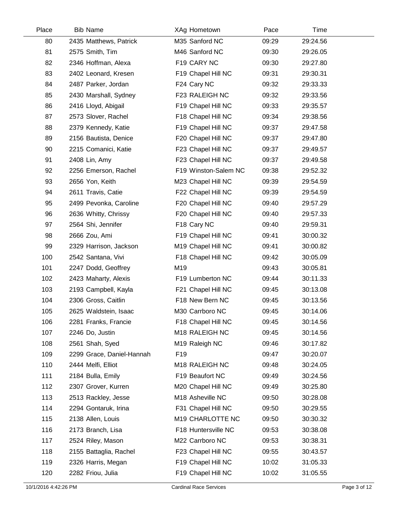| Place | <b>Bib Name</b>           | XAg Hometown               | Pace  | Time     |  |
|-------|---------------------------|----------------------------|-------|----------|--|
| 80    | 2435 Matthews, Patrick    | M35 Sanford NC             | 09:29 | 29:24.56 |  |
| 81    | 2575 Smith, Tim           | M46 Sanford NC             | 09:30 | 29:26.05 |  |
| 82    | 2346 Hoffman, Alexa       | F19 CARY NC                | 09:30 | 29:27.80 |  |
| 83    | 2402 Leonard, Kresen      | F19 Chapel Hill NC         | 09:31 | 29:30.31 |  |
| 84    | 2487 Parker, Jordan       | F24 Cary NC                | 09:32 | 29:33.33 |  |
| 85    | 2430 Marshall, Sydney     | F23 RALEIGH NC             | 09:32 | 29:33.56 |  |
| 86    | 2416 Lloyd, Abigail       | F19 Chapel Hill NC         | 09:33 | 29:35.57 |  |
| 87    | 2573 Slover, Rachel       | F18 Chapel Hill NC         | 09:34 | 29:38.56 |  |
| 88    | 2379 Kennedy, Katie       | F19 Chapel Hill NC         | 09:37 | 29:47.58 |  |
| 89    | 2156 Bautista, Denice     | F20 Chapel Hill NC         | 09:37 | 29:47.80 |  |
| 90    | 2215 Comanici, Katie      | F23 Chapel Hill NC         | 09:37 | 29:49.57 |  |
| 91    | 2408 Lin, Amy             | F23 Chapel Hill NC         | 09:37 | 29:49.58 |  |
| 92    | 2256 Emerson, Rachel      | F19 Winston-Salem NC       | 09:38 | 29:52.32 |  |
| 93    | 2656 Yon, Keith           | M23 Chapel Hill NC         | 09:39 | 29:54.59 |  |
| 94    | 2611 Travis, Catie        | F22 Chapel Hill NC         | 09:39 | 29:54.59 |  |
| 95    | 2499 Pevonka, Caroline    | F20 Chapel Hill NC         | 09:40 | 29:57.29 |  |
| 96    | 2636 Whitty, Chrissy      | F20 Chapel Hill NC         | 09:40 | 29:57.33 |  |
| 97    | 2564 Shi, Jennifer        | F18 Cary NC                | 09:40 | 29:59.31 |  |
| 98    | 2666 Zou, Ami             | F19 Chapel Hill NC         | 09:41 | 30:00.32 |  |
| 99    | 2329 Harrison, Jackson    | M19 Chapel Hill NC         | 09:41 | 30:00.82 |  |
| 100   | 2542 Santana, Vivi        | F18 Chapel Hill NC         | 09:42 | 30:05.09 |  |
| 101   | 2247 Dodd, Geoffrey       | M19                        | 09:43 | 30:05.81 |  |
| 102   | 2423 Maharty, Alexis      | F19 Lumberton NC           | 09:44 | 30:11.33 |  |
| 103   | 2193 Campbell, Kayla      | F21 Chapel Hill NC         | 09:45 | 30:13.08 |  |
| 104   | 2306 Gross, Caitlin       | F18 New Bern NC            | 09:45 | 30:13.56 |  |
| 105   | 2625 Waldstein, Isaac     | M30 Carrboro NC            | 09:45 | 30:14.06 |  |
| 106   | 2281 Franks, Francie      | F18 Chapel Hill NC         | 09:45 | 30:14.56 |  |
| 107   | 2246 Do, Justin           | M18 RALEIGH NC             | 09:45 | 30:14.56 |  |
| 108   | 2561 Shah, Syed           | M19 Raleigh NC             | 09:46 | 30:17.82 |  |
| 109   | 2299 Grace, Daniel-Hannah | F <sub>19</sub>            | 09:47 | 30:20.07 |  |
| 110   | 2444 Melfi, Elliot        | M <sub>18</sub> RALEIGH NC | 09:48 | 30:24.05 |  |
| 111   | 2184 Bulla, Emily         | F19 Beaufort NC            | 09:49 | 30:24.56 |  |
| 112   | 2307 Grover, Kurren       | M20 Chapel Hill NC         | 09:49 | 30:25.80 |  |
| 113   | 2513 Rackley, Jesse       | M18 Asheville NC           | 09:50 | 30:28.08 |  |
| 114   | 2294 Gontaruk, Irina      | F31 Chapel Hill NC         | 09:50 | 30:29.55 |  |
| 115   | 2138 Allen, Louis         | M19 CHARLOTTE NC           | 09:50 | 30:30.32 |  |
| 116   | 2173 Branch, Lisa         | F18 Huntersville NC        | 09:53 | 30:38.08 |  |
| 117   | 2524 Riley, Mason         | M22 Carrboro NC            | 09:53 | 30:38.31 |  |
| 118   | 2155 Battaglia, Rachel    | F23 Chapel Hill NC         | 09:55 | 30:43.57 |  |
| 119   | 2326 Harris, Megan        | F19 Chapel Hill NC         | 10:02 | 31:05.33 |  |
| 120   | 2282 Friou, Julia         | F19 Chapel Hill NC         | 10:02 | 31:05.55 |  |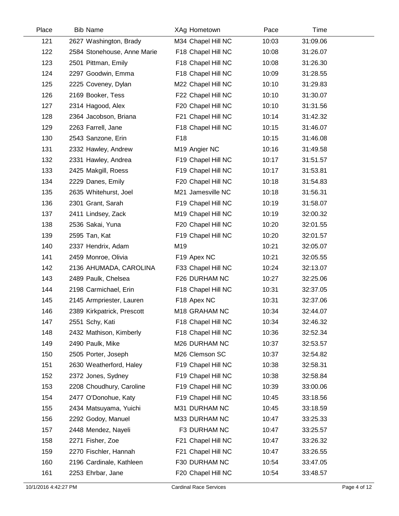| Place | <b>Bib Name</b>             | XAg Hometown       | Pace  | Time     |  |
|-------|-----------------------------|--------------------|-------|----------|--|
| 121   | 2627 Washington, Brady      | M34 Chapel Hill NC | 10:03 | 31:09.06 |  |
| 122   | 2584 Stonehouse, Anne Marie | F18 Chapel Hill NC | 10:08 | 31:26.07 |  |
| 123   | 2501 Pittman, Emily         | F18 Chapel Hill NC | 10:08 | 31:26.30 |  |
| 124   | 2297 Goodwin, Emma          | F18 Chapel Hill NC | 10:09 | 31:28.55 |  |
| 125   | 2225 Coveney, Dylan         | M22 Chapel Hill NC | 10:10 | 31:29.83 |  |
| 126   | 2169 Booker, Tess           | F22 Chapel Hill NC | 10:10 | 31:30.07 |  |
| 127   | 2314 Hagood, Alex           | F20 Chapel Hill NC | 10:10 | 31:31.56 |  |
| 128   | 2364 Jacobson, Briana       | F21 Chapel Hill NC | 10:14 | 31:42.32 |  |
| 129   | 2263 Farrell, Jane          | F18 Chapel Hill NC | 10:15 | 31:46.07 |  |
| 130   | 2543 Sanzone, Erin          | F <sub>18</sub>    | 10:15 | 31:46.08 |  |
| 131   | 2332 Hawley, Andrew         | M19 Angier NC      | 10:16 | 31:49.58 |  |
| 132   | 2331 Hawley, Andrea         | F19 Chapel Hill NC | 10:17 | 31:51.57 |  |
| 133   | 2425 Makgill, Roess         | F19 Chapel Hill NC | 10:17 | 31:53.81 |  |
| 134   | 2229 Danes, Emily           | F20 Chapel Hill NC | 10:18 | 31:54.83 |  |
| 135   | 2635 Whitehurst, Joel       | M21 Jamesville NC  | 10:18 | 31:56.31 |  |
| 136   | 2301 Grant, Sarah           | F19 Chapel Hill NC | 10:19 | 31:58.07 |  |
| 137   | 2411 Lindsey, Zack          | M19 Chapel Hill NC | 10:19 | 32:00.32 |  |
| 138   | 2536 Sakai, Yuna            | F20 Chapel Hill NC | 10:20 | 32:01.55 |  |
| 139   | 2595 Tan, Kat               | F19 Chapel Hill NC | 10:20 | 32:01.57 |  |
| 140   | 2337 Hendrix, Adam          | M19                | 10:21 | 32:05.07 |  |
| 141   | 2459 Monroe, Olivia         | F19 Apex NC        | 10:21 | 32:05.55 |  |
| 142   | 2136 AHUMADA, CAROLINA      | F33 Chapel Hill NC | 10:24 | 32:13.07 |  |
| 143   | 2489 Paulk, Chelsea         | F26 DURHAM NC      | 10:27 | 32:25.06 |  |
| 144   | 2198 Carmichael, Erin       | F18 Chapel Hill NC | 10:31 | 32:37.05 |  |
| 145   | 2145 Armpriester, Lauren    | F18 Apex NC        | 10:31 | 32:37.06 |  |
| 146   | 2389 Kirkpatrick, Prescott  | M18 GRAHAM NC      | 10:34 | 32:44.07 |  |
| 147   | 2551 Schy, Kati             | F18 Chapel Hill NC | 10:34 | 32:46.32 |  |
| 148   | 2432 Mathison, Kimberly     | F18 Chapel Hill NC | 10:36 | 32:52.34 |  |
| 149   | 2490 Paulk, Mike            | M26 DURHAM NC      | 10:37 | 32:53.57 |  |
| 150   | 2505 Porter, Joseph         | M26 Clemson SC     | 10:37 | 32:54.82 |  |
| 151   | 2630 Weatherford, Haley     | F19 Chapel Hill NC | 10:38 | 32:58.31 |  |
| 152   | 2372 Jones, Sydney          | F19 Chapel Hill NC | 10:38 | 32:58.84 |  |
| 153   | 2208 Choudhury, Caroline    | F19 Chapel Hill NC | 10:39 | 33:00.06 |  |
| 154   | 2477 O'Donohue, Katy        | F19 Chapel Hill NC | 10:45 | 33:18.56 |  |
| 155   | 2434 Matsuyama, Yuichi      | M31 DURHAM NC      | 10:45 | 33:18.59 |  |
| 156   | 2292 Godoy, Manuel          | M33 DURHAM NC      | 10:47 | 33:25.33 |  |
| 157   | 2448 Mendez, Nayeli         | F3 DURHAM NC       | 10:47 | 33:25.57 |  |
| 158   | 2271 Fisher, Zoe            | F21 Chapel Hill NC | 10:47 | 33:26.32 |  |
| 159   | 2270 Fischler, Hannah       | F21 Chapel Hill NC | 10:47 | 33:26.55 |  |
| 160   | 2196 Cardinale, Kathleen    | F30 DURHAM NC      | 10:54 | 33:47.05 |  |
| 161   | 2253 Ehrbar, Jane           | F20 Chapel Hill NC | 10:54 | 33:48.57 |  |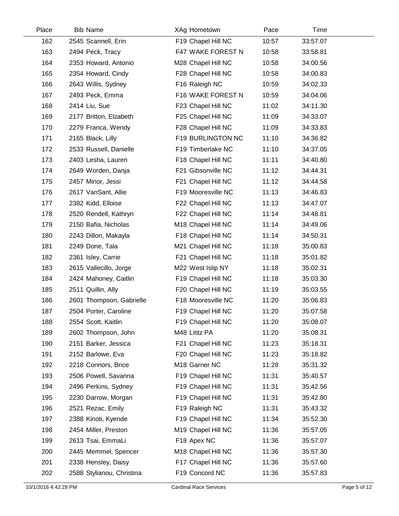| Place | <b>Bib Name</b>           | XAg Hometown       | Pace  | Time     |  |
|-------|---------------------------|--------------------|-------|----------|--|
| 162   | 2545 Scannell, Erin       | F19 Chapel Hill NC | 10:57 | 33:57.07 |  |
| 163   | 2494 Peck, Tracy          | F47 WAKE FOREST N  | 10:58 | 33:58.81 |  |
| 164   | 2353 Howard, Antonio      | M28 Chapel Hill NC | 10:58 | 34:00.56 |  |
| 165   | 2354 Howard, Cindy        | F28 Chapel Hill NC | 10:58 | 34:00.83 |  |
| 166   | 2643 Willis, Sydney       | F16 Raleigh NC     | 10:59 | 34:02.33 |  |
| 167   | 2493 Peck, Emma           | F16 WAKE FOREST N  | 10:59 | 34:04.06 |  |
| 168   | 2414 Liu, Sue             | F23 Chapel Hill NC | 11:02 | 34:11.30 |  |
| 169   | 2177 Britton, Elzabeth    | F25 Chapel Hill NC | 11:09 | 34:33.07 |  |
| 170   | 2279 Franca, Wendy        | F28 Chapel Hill NC | 11:09 | 34:33.83 |  |
| 171   | 2165 Black, Lilly         | F19 BURLINGTON NC  | 11:10 | 34:36.82 |  |
| 172   | 2533 Russell, Danielle    | F19 Timberlake NC  | 11:10 | 34:37.05 |  |
| 173   | 2403 Lesha, Lauren        | F18 Chapel Hill NC | 11:11 | 34:40.80 |  |
| 174   | 2649 Worden, Danja        | F21 Gibsonville NC | 11:12 | 34:44.31 |  |
| 175   | 2457 Minor, Jessi         | F21 Chapel Hill NC | 11:12 | 34:44.58 |  |
| 176   | 2617 VanSant, Allie       | F19 Mooresville NC | 11:13 | 34:46.83 |  |
| 177   | 2382 Kidd, Elloise        | F22 Chapel Hill NC | 11:13 | 34:47.07 |  |
| 178   | 2520 Rendell, Kathryn     | F22 Chapel Hill NC | 11:14 | 34:48.81 |  |
| 179   | 2150 Bafia, Nicholas      | M18 Chapel Hill NC | 11:14 | 34:49.06 |  |
| 180   | 2243 Dillon, Makayla      | F18 Chapel Hill NC | 11:14 | 34:50.31 |  |
| 181   | 2249 Done, Tala           | M21 Chapel Hill NC | 11:18 | 35:00.83 |  |
| 182   | 2361 Isley, Carrie        | F21 Chapel Hill NC | 11:18 | 35:01.82 |  |
| 183   | 2615 Vallecillo, Jorge    | M22 West Islip NY  | 11:18 | 35:02.31 |  |
| 184   | 2424 Mahoney, Caitlin     | F19 Chapel Hill NC | 11:18 | 35:03.30 |  |
| 185   | 2511 Quillin, Ally        | F20 Chapel Hill NC | 11:19 | 35:03.55 |  |
| 186   | 2601 Thompson, Gabrielle  | F18 Mooresville NC | 11:20 | 35:06.83 |  |
| 187   | 2504 Porter, Caroline     | F19 Chapel Hill NC | 11:20 | 35:07.58 |  |
| 188   | 2554 Scott, Kaitlin       | F19 Chapel Hill NC | 11:20 | 35:08.07 |  |
| 189   | 2602 Thompson, John       | M48 Lititz PA      | 11:20 | 35:08.31 |  |
| 190   | 2151 Barker, Jessica      | F21 Chapel Hill NC | 11:23 | 35:18.31 |  |
| 191   | 2152 Barlowe, Eva         | F20 Chapel Hill NC | 11:23 | 35:18.82 |  |
| 192   | 2218 Connors, Brice       | M18 Garner NC      | 11:28 | 35:31.32 |  |
| 193   | 2506 Powell, Savanna      | F19 Chapel Hill NC | 11:31 | 35:40.57 |  |
| 194   | 2496 Perkins, Sydney      | F19 Chapel Hill NC | 11:31 | 35:42.56 |  |
| 195   | 2230 Darrow, Morgan       | F19 Chapel Hill NC | 11:31 | 35:42.80 |  |
| 196   | 2521 Rezac, Emily         | F19 Raleigh NC     | 11:31 | 35:43.32 |  |
| 197   | 2388 Kinoti, Kyende       | F19 Chapel Hill NC | 11:34 | 35:52.30 |  |
| 198   | 2454 Miller, Preston      | M19 Chapel Hill NC | 11:36 | 35:57.05 |  |
| 199   | 2613 Tsai, EmmaLi         | F18 Apex NC        | 11:36 | 35:57.07 |  |
| 200   | 2445 Memmel, Spencer      | M18 Chapel Hill NC | 11:36 | 35:57.30 |  |
| 201   | 2338 Hensley, Daisy       | F17 Chapel Hill NC | 11:36 | 35:57.60 |  |
| 202   | 2588 Stylianou, Christina | F19 Concord NC     | 11:36 | 35:57.83 |  |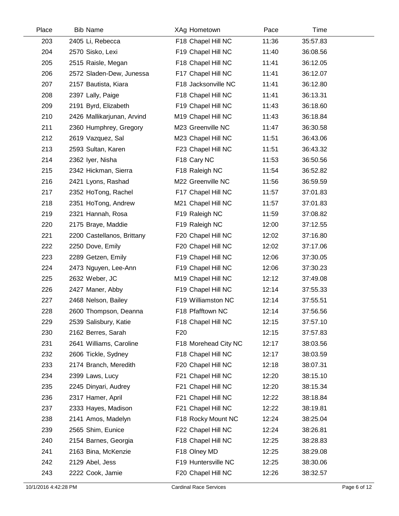| Place | <b>Bib Name</b>            | XAg Hometown         | Pace  | Time     |  |
|-------|----------------------------|----------------------|-------|----------|--|
| 203   | 2405 Li, Rebecca           | F18 Chapel Hill NC   | 11:36 | 35:57.83 |  |
| 204   | 2570 Sisko, Lexi           | F19 Chapel Hill NC   | 11:40 | 36:08.56 |  |
| 205   | 2515 Raisle, Megan         | F18 Chapel Hill NC   | 11:41 | 36:12.05 |  |
| 206   | 2572 Sladen-Dew, Junessa   | F17 Chapel Hill NC   | 11:41 | 36:12.07 |  |
| 207   | 2157 Bautista, Kiara       | F18 Jacksonville NC  | 11:41 | 36:12.80 |  |
| 208   | 2397 Lally, Paige          | F18 Chapel Hill NC   | 11:41 | 36:13.31 |  |
| 209   | 2191 Byrd, Elizabeth       | F19 Chapel Hill NC   | 11:43 | 36:18.60 |  |
| 210   | 2426 Mallikarjunan, Arvind | M19 Chapel Hill NC   | 11:43 | 36:18.84 |  |
| 211   | 2360 Humphrey, Gregory     | M23 Greenville NC    | 11:47 | 36:30.58 |  |
| 212   | 2619 Vazquez, Sal          | M23 Chapel Hill NC   | 11:51 | 36:43.06 |  |
| 213   | 2593 Sultan, Karen         | F23 Chapel Hill NC   | 11:51 | 36:43.32 |  |
| 214   | 2362 Iyer, Nisha           | F18 Cary NC          | 11:53 | 36:50.56 |  |
| 215   | 2342 Hickman, Sierra       | F18 Raleigh NC       | 11:54 | 36:52.82 |  |
| 216   | 2421 Lyons, Rashad         | M22 Greenville NC    | 11:56 | 36:59.59 |  |
| 217   | 2352 HoTong, Rachel        | F17 Chapel Hill NC   | 11:57 | 37:01.83 |  |
| 218   | 2351 HoTong, Andrew        | M21 Chapel Hill NC   | 11:57 | 37:01.83 |  |
| 219   | 2321 Hannah, Rosa          | F19 Raleigh NC       | 11:59 | 37:08.82 |  |
| 220   | 2175 Braye, Maddie         | F19 Raleigh NC       | 12:00 | 37:12.55 |  |
| 221   | 2200 Castellanos, Brittany | F20 Chapel Hill NC   | 12:02 | 37:16.80 |  |
| 222   | 2250 Dove, Emily           | F20 Chapel Hill NC   | 12:02 | 37:17.06 |  |
| 223   | 2289 Getzen, Emily         | F19 Chapel Hill NC   | 12:06 | 37:30.05 |  |
| 224   | 2473 Nguyen, Lee-Ann       | F19 Chapel Hill NC   | 12:06 | 37:30.23 |  |
| 225   | 2632 Weber, JC             | M19 Chapel Hill NC   | 12:12 | 37:49.08 |  |
| 226   | 2427 Maner, Abby           | F19 Chapel Hill NC   | 12:14 | 37:55.33 |  |
| 227   | 2468 Nelson, Bailey        | F19 Williamston NC   | 12:14 | 37:55.51 |  |
| 228   | 2600 Thompson, Deanna      | F18 Pfafftown NC     | 12:14 | 37:56.56 |  |
| 229   | 2539 Salisbury, Katie      | F18 Chapel Hill NC   | 12:15 | 37:57.10 |  |
| 230   | 2162 Berres, Sarah         | F <sub>20</sub>      | 12:15 | 37:57.83 |  |
| 231   | 2641 Williams, Caroline    | F18 Morehead City NC | 12:17 | 38:03.56 |  |
| 232   | 2606 Tickle, Sydney        | F18 Chapel Hill NC   | 12:17 | 38:03.59 |  |
| 233   | 2174 Branch, Meredith      | F20 Chapel Hill NC   | 12:18 | 38:07.31 |  |
| 234   | 2399 Laws, Lucy            | F21 Chapel Hill NC   | 12:20 | 38:15.10 |  |
| 235   | 2245 Dinyari, Audrey       | F21 Chapel Hill NC   | 12:20 | 38:15.34 |  |
| 236   | 2317 Hamer, April          | F21 Chapel Hill NC   | 12:22 | 38:18.84 |  |
| 237   | 2333 Hayes, Madison        | F21 Chapel Hill NC   | 12:22 | 38:19.81 |  |
| 238   | 2141 Amos, Madelyn         | F18 Rocky Mount NC   | 12:24 | 38:25.04 |  |
| 239   | 2565 Shim, Eunice          | F22 Chapel Hill NC   | 12:24 | 38:26.81 |  |
| 240   | 2154 Barnes, Georgia       | F18 Chapel Hill NC   | 12:25 | 38:28.83 |  |
| 241   | 2163 Bina, McKenzie        | F18 Olney MD         | 12:25 | 38:29.08 |  |
| 242   | 2129 Abel, Jess            | F19 Huntersville NC  | 12:25 | 38:30.06 |  |
| 243   | 2222 Cook, Jamie           | F20 Chapel Hill NC   | 12:26 | 38:32.57 |  |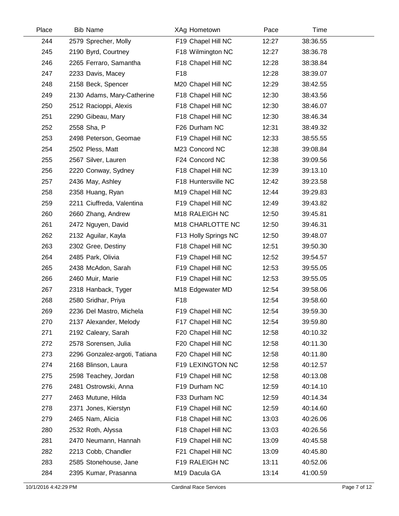| Place | <b>Bib Name</b>               | XAg Hometown              | Pace  | Time     |  |
|-------|-------------------------------|---------------------------|-------|----------|--|
| 244   | 2579 Sprecher, Molly          | F19 Chapel Hill NC        | 12:27 | 38:36.55 |  |
| 245   | 2190 Byrd, Courtney           | F18 Wilmington NC         | 12:27 | 38:36.78 |  |
| 246   | 2265 Ferraro, Samantha        | F18 Chapel Hill NC        | 12:28 | 38:38.84 |  |
| 247   | 2233 Davis, Macey             | F <sub>18</sub>           | 12:28 | 38:39.07 |  |
| 248   | 2158 Beck, Spencer            | M20 Chapel Hill NC        | 12:29 | 38:42.55 |  |
| 249   | 2130 Adams, Mary-Catherine    | F18 Chapel Hill NC        | 12:30 | 38:43.56 |  |
| 250   | 2512 Racioppi, Alexis         | F18 Chapel Hill NC        | 12:30 | 38:46.07 |  |
| 251   | 2290 Gibeau, Mary             | F18 Chapel Hill NC        | 12:30 | 38:46.34 |  |
| 252   | 2558 Sha, P                   | F26 Durham NC             | 12:31 | 38:49.32 |  |
| 253   | 2498 Peterson, Geomae         | F19 Chapel Hill NC        | 12:33 | 38:55.55 |  |
| 254   | 2502 Pless, Matt              | M23 Concord NC            | 12:38 | 39:08.84 |  |
| 255   | 2567 Silver, Lauren           | F24 Concord NC            | 12:38 | 39:09.56 |  |
| 256   | 2220 Conway, Sydney           | F18 Chapel Hill NC        | 12:39 | 39:13.10 |  |
| 257   | 2436 May, Ashley              | F18 Huntersville NC       | 12:42 | 39:23.58 |  |
| 258   | 2358 Huang, Ryan              | M19 Chapel Hill NC        | 12:44 | 39:29.83 |  |
| 259   | 2211 Ciuffreda, Valentina     | F19 Chapel Hill NC        | 12:49 | 39:43.82 |  |
| 260   | 2660 Zhang, Andrew            | M18 RALEIGH NC            | 12:50 | 39:45.81 |  |
| 261   | 2472 Nguyen, David            | M18 CHARLOTTE NC          | 12:50 | 39:46.31 |  |
| 262   | 2132 Aguilar, Kayla           | F13 Holly Springs NC      | 12:50 | 39:48.07 |  |
| 263   | 2302 Gree, Destiny            | F18 Chapel Hill NC        | 12:51 | 39:50.30 |  |
| 264   | 2485 Park, Olivia             | F19 Chapel Hill NC        | 12:52 | 39:54.57 |  |
| 265   | 2438 McAdon, Sarah            | F19 Chapel Hill NC        | 12:53 | 39:55.05 |  |
| 266   | 2460 Muir, Marie              | F19 Chapel Hill NC        | 12:53 | 39:55.05 |  |
| 267   | 2318 Hanback, Tyger           | M18 Edgewater MD          | 12:54 | 39:58.06 |  |
| 268   | 2580 Sridhar, Priya           | F <sub>18</sub>           | 12:54 | 39:58.60 |  |
| 269   | 2236 Del Mastro, Michela      | F19 Chapel Hill NC        | 12:54 | 39:59.30 |  |
| 270   | 2137 Alexander, Melody        | F17 Chapel Hill NC        | 12:54 | 39:59.80 |  |
| 271   | 2192 Caleary, Sarah           | F20 Chapel Hill NC        | 12:58 | 40:10.32 |  |
| 272   | 2578 Sorensen, Julia          | F20 Chapel Hill NC        | 12:58 | 40:11.30 |  |
| 273   | 2296 Gonzalez-argoti, Tatiana | F20 Chapel Hill NC        | 12:58 | 40:11.80 |  |
| 274   | 2168 Blinson, Laura           | F19 LEXINGTON NC          | 12:58 | 40:12.57 |  |
| 275   | 2598 Teachey, Jordan          | F19 Chapel Hill NC        | 12:58 | 40:13.08 |  |
| 276   | 2481 Ostrowski, Anna          | F19 Durham NC             | 12:59 | 40:14.10 |  |
| 277   | 2463 Mutune, Hilda            | F33 Durham NC             | 12:59 | 40:14.34 |  |
| 278   | 2371 Jones, Kierstyn          | F19 Chapel Hill NC        | 12:59 | 40:14.60 |  |
| 279   | 2465 Nam, Alicia              | F18 Chapel Hill NC        | 13:03 | 40:26.06 |  |
| 280   | 2532 Roth, Alyssa             | F18 Chapel Hill NC        | 13:03 | 40:26.56 |  |
| 281   | 2470 Neumann, Hannah          | F19 Chapel Hill NC        | 13:09 | 40:45.58 |  |
| 282   | 2213 Cobb, Chandler           | F21 Chapel Hill NC        | 13:09 | 40:45.80 |  |
| 283   | 2585 Stonehouse, Jane         | F19 RALEIGH NC            | 13:11 | 40:52.06 |  |
| 284   | 2395 Kumar, Prasanna          | M <sub>19</sub> Dacula GA | 13:14 | 41:00.59 |  |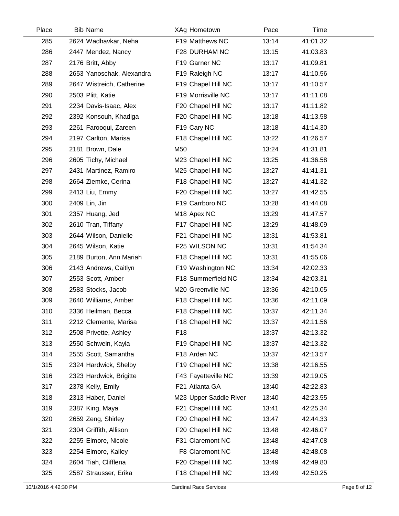| Place | <b>Bib Name</b>           | XAg Hometown            | Pace  | Time     |  |
|-------|---------------------------|-------------------------|-------|----------|--|
| 285   | 2624 Wadhavkar, Neha      | F19 Matthews NC         | 13:14 | 41:01.32 |  |
| 286   | 2447 Mendez, Nancy        | F28 DURHAM NC           | 13:15 | 41:03.83 |  |
| 287   | 2176 Britt, Abby          | F19 Garner NC           | 13:17 | 41:09.81 |  |
| 288   | 2653 Yanoschak, Alexandra | F19 Raleigh NC          | 13:17 | 41:10.56 |  |
| 289   | 2647 Wistreich, Catherine | F19 Chapel Hill NC      | 13:17 | 41:10.57 |  |
| 290   | 2503 Plitt, Katie         | F19 Morrisville NC      | 13:17 | 41:11.08 |  |
| 291   | 2234 Davis-Isaac, Alex    | F20 Chapel Hill NC      | 13:17 | 41:11.82 |  |
| 292   | 2392 Konsouh, Khadiga     | F20 Chapel Hill NC      | 13:18 | 41:13.58 |  |
| 293   | 2261 Farooqui, Zareen     | F19 Cary NC             | 13:18 | 41:14.30 |  |
| 294   | 2197 Carlton, Marisa      | F18 Chapel Hill NC      | 13:22 | 41:26.57 |  |
| 295   | 2181 Brown, Dale          | M50                     | 13:24 | 41:31.81 |  |
| 296   | 2605 Tichy, Michael       | M23 Chapel Hill NC      | 13:25 | 41:36.58 |  |
| 297   | 2431 Martinez, Ramiro     | M25 Chapel Hill NC      | 13:27 | 41:41.31 |  |
| 298   | 2664 Ziemke, Cerina       | F18 Chapel Hill NC      | 13:27 | 41:41.32 |  |
| 299   | 2413 Liu, Emmy            | F20 Chapel Hill NC      | 13:27 | 41:42.55 |  |
| 300   | 2409 Lin, Jin             | F19 Carrboro NC         | 13:28 | 41:44.08 |  |
| 301   | 2357 Huang, Jed           | M <sub>18</sub> Apex NC | 13:29 | 41:47.57 |  |
| 302   | 2610 Tran, Tiffany        | F17 Chapel Hill NC      | 13:29 | 41:48.09 |  |
| 303   | 2644 Wilson, Danielle     | F21 Chapel Hill NC      | 13:31 | 41:53.81 |  |
| 304   | 2645 Wilson, Katie        | F25 WILSON NC           | 13:31 | 41:54.34 |  |
| 305   | 2189 Burton, Ann Mariah   | F18 Chapel Hill NC      | 13:31 | 41:55.06 |  |
| 306   | 2143 Andrews, Caitlyn     | F19 Washington NC       | 13:34 | 42:02.33 |  |
| 307   | 2553 Scott, Amber         | F18 Summerfield NC      | 13:34 | 42:03.31 |  |
| 308   | 2583 Stocks, Jacob        | M20 Greenville NC       | 13:36 | 42:10.05 |  |
| 309   | 2640 Williams, Amber      | F18 Chapel Hill NC      | 13:36 | 42:11.09 |  |
| 310   | 2336 Heilman, Becca       | F18 Chapel Hill NC      | 13:37 | 42:11.34 |  |
| 311   | 2212 Clemente, Marisa     | F18 Chapel Hill NC      | 13:37 | 42:11.56 |  |
| 312   | 2508 Privette, Ashley     | F <sub>18</sub>         | 13:37 | 42:13.32 |  |
| 313   | 2550 Schwein, Kayla       | F19 Chapel Hill NC      | 13:37 | 42:13.32 |  |
| 314   | 2555 Scott, Samantha      | F18 Arden NC            | 13:37 | 42:13.57 |  |
| 315   | 2324 Hardwick, Shelby     | F19 Chapel Hill NC      | 13:38 | 42:16.55 |  |
| 316   | 2323 Hardwick, Brigitte   | F43 Fayetteville NC     | 13:39 | 42:19.05 |  |
| 317   | 2378 Kelly, Emily         | F21 Atlanta GA          | 13:40 | 42:22.83 |  |
| 318   | 2313 Haber, Daniel        | M23 Upper Saddle River  | 13:40 | 42:23.55 |  |
| 319   | 2387 King, Maya           | F21 Chapel Hill NC      | 13:41 | 42:25.34 |  |
| 320   | 2659 Zeng, Shirley        | F20 Chapel Hill NC      | 13:47 | 42:44.33 |  |
| 321   | 2304 Griffith, Allison    | F20 Chapel Hill NC      | 13:48 | 42:46.07 |  |
| 322   | 2255 Elmore, Nicole       | F31 Claremont NC        | 13:48 | 42:47.08 |  |
| 323   | 2254 Elmore, Kailey       | F8 Claremont NC         | 13:48 | 42:48.08 |  |
| 324   | 2604 Tiah, Clifflena      | F20 Chapel Hill NC      | 13:49 | 42:49.80 |  |
| 325   | 2587 Strausser, Erika     | F18 Chapel Hill NC      | 13:49 | 42:50.25 |  |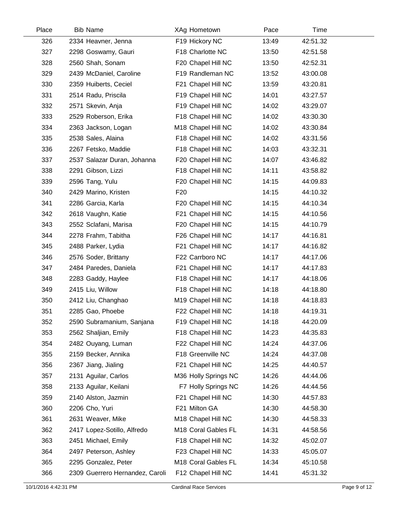| Place | <b>Bib Name</b>                 | XAg Hometown         | Pace  | Time     |  |
|-------|---------------------------------|----------------------|-------|----------|--|
| 326   | 2334 Heavner, Jenna             | F19 Hickory NC       | 13:49 | 42:51.32 |  |
| 327   | 2298 Goswamy, Gauri             | F18 Charlotte NC     | 13:50 | 42:51.58 |  |
| 328   | 2560 Shah, Sonam                | F20 Chapel Hill NC   | 13:50 | 42:52.31 |  |
| 329   | 2439 McDaniel, Caroline         | F19 Randleman NC     | 13:52 | 43:00.08 |  |
| 330   | 2359 Huiberts, Ceciel           | F21 Chapel Hill NC   | 13:59 | 43:20.81 |  |
| 331   | 2514 Radu, Priscila             | F19 Chapel Hill NC   | 14:01 | 43:27.57 |  |
| 332   | 2571 Skevin, Anja               | F19 Chapel Hill NC   | 14:02 | 43:29.07 |  |
| 333   | 2529 Roberson, Erika            | F18 Chapel Hill NC   | 14:02 | 43:30.30 |  |
| 334   | 2363 Jackson, Logan             | M18 Chapel Hill NC   | 14:02 | 43:30.84 |  |
| 335   | 2538 Sales, Alaina              | F18 Chapel Hill NC   | 14:02 | 43:31.56 |  |
| 336   | 2267 Fetsko, Maddie             | F18 Chapel Hill NC   | 14:03 | 43:32.31 |  |
| 337   | 2537 Salazar Duran, Johanna     | F20 Chapel Hill NC   | 14:07 | 43:46.82 |  |
| 338   | 2291 Gibson, Lizzi              | F18 Chapel Hill NC   | 14:11 | 43:58.82 |  |
| 339   | 2596 Tang, Yulu                 | F20 Chapel Hill NC   | 14:15 | 44:09.83 |  |
| 340   | 2429 Marino, Kristen            | F <sub>20</sub>      | 14:15 | 44:10.32 |  |
| 341   | 2286 Garcia, Karla              | F20 Chapel Hill NC   | 14:15 | 44:10.34 |  |
| 342   | 2618 Vaughn, Katie              | F21 Chapel Hill NC   | 14:15 | 44:10.56 |  |
| 343   | 2552 Sclafani, Marisa           | F20 Chapel Hill NC   | 14:15 | 44:10.79 |  |
| 344   | 2278 Frahm, Tabitha             | F26 Chapel Hill NC   | 14:17 | 44:16.81 |  |
| 345   | 2488 Parker, Lydia              | F21 Chapel Hill NC   | 14:17 | 44:16.82 |  |
| 346   | 2576 Soder, Brittany            | F22 Carrboro NC      | 14:17 | 44:17.06 |  |
| 347   | 2484 Paredes, Daniela           | F21 Chapel Hill NC   | 14:17 | 44:17.83 |  |
| 348   | 2283 Gaddy, Haylee              | F18 Chapel Hill NC   | 14:17 | 44:18.06 |  |
| 349   | 2415 Liu, Willow                | F18 Chapel Hill NC   | 14:18 | 44:18.80 |  |
| 350   | 2412 Liu, Changhao              | M19 Chapel Hill NC   | 14:18 | 44:18.83 |  |
| 351   | 2285 Gao, Phoebe                | F22 Chapel Hill NC   | 14:18 | 44:19.31 |  |
| 352   | 2590 Subramanium, Sanjana       | F19 Chapel Hill NC   | 14:18 | 44:20.09 |  |
| 353   | 2562 Shaljian, Emily            | F18 Chapel Hill NC   | 14:23 | 44:35.83 |  |
| 354   | 2482 Ouyang, Luman              | F22 Chapel Hill NC   | 14:24 | 44:37.06 |  |
| 355   | 2159 Becker, Annika             | F18 Greenville NC    | 14:24 | 44:37.08 |  |
| 356   | 2367 Jiang, Jialing             | F21 Chapel Hill NC   | 14:25 | 44:40.57 |  |
| 357   | 2131 Aguilar, Carlos            | M36 Holly Springs NC | 14:26 | 44:44.06 |  |
| 358   | 2133 Aguilar, Keilani           | F7 Holly Springs NC  | 14:26 | 44:44.56 |  |
| 359   | 2140 Alston, Jazmin             | F21 Chapel Hill NC   | 14:30 | 44:57.83 |  |
| 360   | 2206 Cho, Yuri                  | F21 Milton GA        | 14:30 | 44:58.30 |  |
| 361   | 2631 Weaver, Mike               | M18 Chapel Hill NC   | 14:30 | 44:58.33 |  |
| 362   | 2417 Lopez-Sotillo, Alfredo     | M18 Coral Gables FL  | 14:31 | 44:58.56 |  |
| 363   | 2451 Michael, Emily             | F18 Chapel Hill NC   | 14:32 | 45:02.07 |  |
| 364   | 2497 Peterson, Ashley           | F23 Chapel Hill NC   | 14:33 | 45:05.07 |  |
| 365   | 2295 Gonzalez, Peter            | M18 Coral Gables FL  | 14:34 | 45:10.58 |  |
| 366   | 2309 Guerrero Hernandez, Caroli | F12 Chapel Hill NC   | 14:41 | 45:31.32 |  |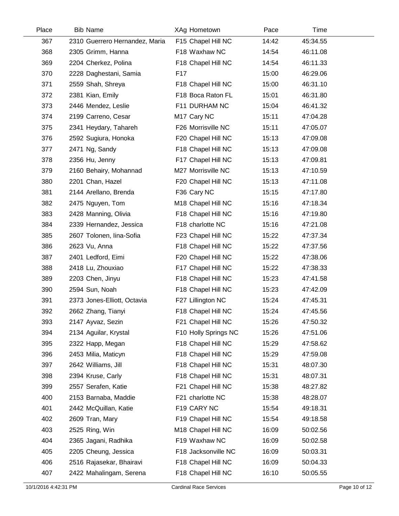| Place | <b>Bib Name</b>                | XAg Hometown         | Pace  | Time     |  |
|-------|--------------------------------|----------------------|-------|----------|--|
| 367   | 2310 Guerrero Hernandez, Maria | F15 Chapel Hill NC   | 14:42 | 45:34.55 |  |
| 368   | 2305 Grimm, Hanna              | F18 Waxhaw NC        | 14:54 | 46:11.08 |  |
| 369   | 2204 Cherkez, Polina           | F18 Chapel Hill NC   | 14:54 | 46:11.33 |  |
| 370   | 2228 Daghestani, Samia         | F <sub>17</sub>      | 15:00 | 46:29.06 |  |
| 371   | 2559 Shah, Shreya              | F18 Chapel Hill NC   | 15:00 | 46:31.10 |  |
| 372   | 2381 Kian, Emily               | F18 Boca Raton FL    | 15:01 | 46:31.80 |  |
| 373   | 2446 Mendez, Leslie            | F11 DURHAM NC        | 15:04 | 46:41.32 |  |
| 374   | 2199 Carreno, Cesar            | M17 Cary NC          | 15:11 | 47:04.28 |  |
| 375   | 2341 Heydary, Tahareh          | F26 Morrisville NC   | 15:11 | 47:05.07 |  |
| 376   | 2592 Sugiura, Honoka           | F20 Chapel Hill NC   | 15:13 | 47:09.08 |  |
| 377   | 2471 Ng, Sandy                 | F18 Chapel Hill NC   | 15:13 | 47:09.08 |  |
| 378   | 2356 Hu, Jenny                 | F17 Chapel Hill NC   | 15:13 | 47:09.81 |  |
| 379   | 2160 Behairy, Mohannad         | M27 Morrisville NC   | 15:13 | 47:10.59 |  |
| 380   | 2201 Chan, Hazel               | F20 Chapel Hill NC   | 15:13 | 47:11.08 |  |
| 381   | 2144 Arellano, Brenda          | F36 Cary NC          | 15:15 | 47:17.80 |  |
| 382   | 2475 Nguyen, Tom               | M18 Chapel Hill NC   | 15:16 | 47:18.34 |  |
| 383   | 2428 Manning, Olivia           | F18 Chapel Hill NC   | 15:16 | 47:19.80 |  |
| 384   | 2339 Hernandez, Jessica        | F18 charlotte NC     | 15:16 | 47:21.08 |  |
| 385   | 2607 Tolonen, lina-Sofia       | F23 Chapel Hill NC   | 15:22 | 47:37.34 |  |
| 386   | 2623 Vu, Anna                  | F18 Chapel Hill NC   | 15:22 | 47:37.56 |  |
| 387   | 2401 Ledford, Eimi             | F20 Chapel Hill NC   | 15:22 | 47:38.06 |  |
| 388   | 2418 Lu, Zhouxiao              | F17 Chapel Hill NC   | 15:22 | 47:38.33 |  |
| 389   | 2203 Chen, Jinyu               | F18 Chapel Hill NC   | 15:23 | 47:41.58 |  |
| 390   | 2594 Sun, Noah                 | F18 Chapel Hill NC   | 15:23 | 47:42.09 |  |
| 391   | 2373 Jones-Elliott, Octavia    | F27 Lillington NC    | 15:24 | 47:45.31 |  |
| 392   | 2662 Zhang, Tianyi             | F18 Chapel Hill NC   | 15:24 | 47:45.56 |  |
| 393   | 2147 Ayvaz, Sezin              | F21 Chapel Hill NC   | 15:26 | 47:50.32 |  |
| 394   | 2134 Aguilar, Krystal          | F10 Holly Springs NC | 15:26 | 47:51.06 |  |
| 395   | 2322 Happ, Megan               | F18 Chapel Hill NC   | 15:29 | 47:58.62 |  |
| 396   | 2453 Milia, Maticyn            | F18 Chapel Hill NC   | 15:29 | 47:59.08 |  |
| 397   | 2642 Williams, Jill            | F18 Chapel Hill NC   | 15:31 | 48:07.30 |  |
| 398   | 2394 Kruse, Carly              | F18 Chapel Hill NC   | 15:31 | 48:07.31 |  |
| 399   | 2557 Serafen, Katie            | F21 Chapel Hill NC   | 15:38 | 48:27.82 |  |
| 400   | 2153 Barnaba, Maddie           | F21 charlotte NC     | 15:38 | 48:28.07 |  |
| 401   | 2442 McQuillan, Katie          | F19 CARY NC          | 15:54 | 49:18.31 |  |
| 402   | 2609 Tran, Mary                | F19 Chapel Hill NC   | 15:54 | 49:18.58 |  |
| 403   | 2525 Ring, Win                 | M18 Chapel Hill NC   | 16:09 | 50:02.56 |  |
| 404   | 2365 Jagani, Radhika           | F19 Waxhaw NC        | 16:09 | 50:02.58 |  |
| 405   | 2205 Cheung, Jessica           | F18 Jacksonville NC  | 16:09 | 50:03.31 |  |
| 406   | 2516 Rajasekar, Bhairavi       | F18 Chapel Hill NC   | 16:09 | 50:04.33 |  |
| 407   | 2422 Mahalingam, Serena        | F18 Chapel Hill NC   | 16:10 | 50:05.55 |  |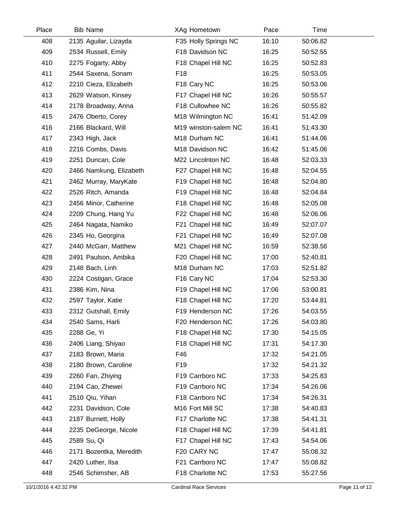| Place | <b>Bib Name</b>         | XAg Hometown         | Pace  | Time     |  |
|-------|-------------------------|----------------------|-------|----------|--|
| 408   | 2135 Aguilar, Lizayda   | F35 Holly Springs NC | 16:10 | 50:06.82 |  |
| 409   | 2534 Russell, Emily     | F18 Davidson NC      | 16:25 | 50:52.55 |  |
| 410   | 2275 Fogarty, Abby      | F18 Chapel Hill NC   | 16:25 | 50:52.83 |  |
| 411   | 2544 Saxena, Sonam      | F <sub>18</sub>      | 16:25 | 50:53.05 |  |
| 412   | 2210 Cieza, Elizabeth   | F18 Cary NC          | 16:25 | 50:53.06 |  |
| 413   | 2629 Watson, Kinsey     | F17 Chapel Hill NC   | 16:26 | 50:55.57 |  |
| 414   | 2178 Broadway, Anna     | F18 Cullowhee NC     | 16:26 | 50:55.82 |  |
| 415   | 2476 Oberto, Corey      | M18 Wilmington NC    | 16:41 | 51:42.09 |  |
| 416   | 2166 Blackard, Will     | M19 winston-salem NC | 16:41 | 51:43.30 |  |
| 417   | 2343 High, Jack         | M18 Durham NC        | 16:41 | 51:44.06 |  |
| 418   | 2216 Combs, Davis       | M18 Davidson NC      | 16:42 | 51:45.06 |  |
| 419   | 2251 Duncan, Cole       | M22 Lincolnton NC    | 16:48 | 52:03.33 |  |
| 420   | 2466 Namkung, Elizabeth | F27 Chapel Hill NC   | 16:48 | 52:04.55 |  |
| 421   | 2462 Murray, MaryKate   | F19 Chapel Hill NC   | 16:48 | 52:04.80 |  |
| 422   | 2526 Ritch, Amanda      | F19 Chapel Hill NC   | 16:48 | 52:04.84 |  |
| 423   | 2456 Minor, Catherine   | F18 Chapel Hill NC   | 16:48 | 52:05.08 |  |
| 424   | 2209 Chung, Hang Yu     | F22 Chapel Hill NC   | 16:48 | 52:06.06 |  |
| 425   | 2464 Nagata, Namiko     | F21 Chapel Hill NC   | 16:49 | 52:07.07 |  |
| 426   | 2345 Ho, Georgina       | F21 Chapel Hill NC   | 16:49 | 52:07.08 |  |
| 427   | 2440 McGarr, Matthew    | M21 Chapel Hill NC   | 16:59 | 52:38.56 |  |
| 428   | 2491 Paulson, Ambika    | F20 Chapel Hill NC   | 17:00 | 52:40.81 |  |
| 429   | 2148 Bach, Linh         | M18 Durham NC        | 17:03 | 52:51.82 |  |
| 430   | 2224 Costigan, Grace    | F16 Cary NC          | 17:04 | 52:53.30 |  |
| 431   | 2386 Kim, Nina          | F19 Chapel Hill NC   | 17:06 | 53:00.81 |  |
| 432   | 2597 Taylor, Katie      | F18 Chapel Hill NC   | 17:20 | 53:44.81 |  |
| 433   | 2312 Gutshall, Emily    | F19 Henderson NC     | 17:26 | 54:03.55 |  |
| 434   | 2540 Sams, Harli        | F20 Henderson NC     | 17:26 | 54:03.80 |  |
| 435   | 2288 Ge, Yi             | F18 Chapel Hill NC   | 17:30 | 54:15.05 |  |
| 436   | 2406 Liang, Shiyao      | F18 Chapel Hill NC   | 17:31 | 54:17.30 |  |
| 437   | 2183 Brown, Maria       | F46                  | 17:32 | 54:21.05 |  |
| 438   | 2180 Brown, Caroline    | F <sub>19</sub>      | 17:32 | 54:21.32 |  |
| 439   | 2260 Fan, Zhiying       | F19 Carrboro NC      | 17:33 | 54:25.83 |  |
| 440   | 2194 Cao, Zhewei        | F19 Carrboro NC      | 17:34 | 54:26.06 |  |
| 441   | 2510 Qiu, Yihan         | F18 Carrboro NC      | 17:34 | 54:26.31 |  |
| 442   | 2231 Davidson, Cole     | M16 Fort Mill SC     | 17:38 | 54:40.83 |  |
| 443   | 2187 Burnett, Holly     | F17 Charlotte NC     | 17:38 | 54:41.31 |  |
| 444   | 2235 DeGeorge, Nicole   | F18 Chapel Hill NC   | 17:39 | 54:41.81 |  |
| 445   | 2589 Su, Qi             | F17 Chapel Hill NC   | 17:43 | 54:54.06 |  |
| 446   | 2171 Bozentka, Meredith | F20 CARY NC          | 17:47 | 55:08.32 |  |
| 447   | 2420 Luther, Ilsa       | F21 Carrboro NC      | 17:47 | 55:08.82 |  |
| 448   | 2546 Schimsher, AB      | F18 Charlotte NC     | 17:53 | 55:27.56 |  |